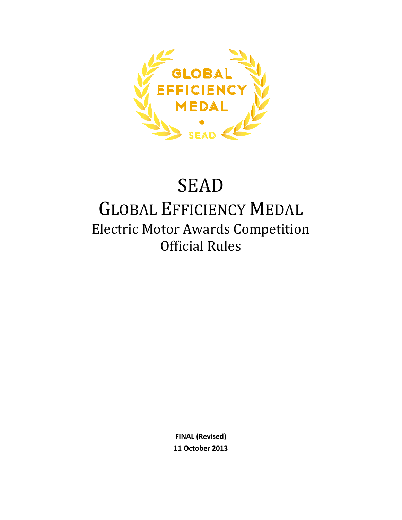

# SEAD

## GLOBAL EFFICIENCY MEDAL

## Electric Motor Awards Competition Official Rules

**FINAL (Revised) 11 October 2013**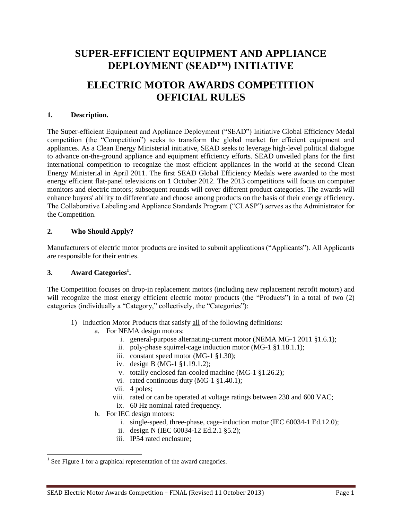## **SUPER-EFFICIENT EQUIPMENT AND APPLIANCE DEPLOYMENT (SEAD™) INITIATIVE**

## **ELECTRIC MOTOR AWARDS COMPETITION OFFICIAL RULES**

#### **1. Description.**

The Super-efficient Equipment and Appliance Deployment ("SEAD") Initiative Global Efficiency Medal competition (the "Competition") seeks to transform the global market for efficient equipment and appliances. As a Clean Energy Ministerial initiative, SEAD seeks to leverage high-level political dialogue to advance on-the-ground appliance and equipment efficiency efforts. SEAD unveiled plans for the first international competition to recognize the most efficient appliances in the world at the second Clean Energy Ministerial in April 2011. The first SEAD Global Efficiency Medals were awarded to the most energy efficient flat-panel televisions on 1 October 2012. The 2013 competitions will focus on computer monitors and electric motors; subsequent rounds will cover different product categories. The awards will enhance buyers' ability to differentiate and choose among products on the basis of their energy efficiency. The Collaborative Labeling and Appliance Standards Program ("CLASP") serves as the Administrator for the Competition.

#### **2. Who Should Apply?**

Manufacturers of electric motor products are invited to submit applications ("Applicants"). All Applicants are responsible for their entries.

#### **3. Award Categories<sup>1</sup> .**

The Competition focuses on drop-in replacement motors (including new replacement retrofit motors) and will recognize the most energy efficient electric motor products (the "Products") in a total of two (2) categories (individually a "Category," collectively, the "Categories"):

- 1) Induction Motor Products that satisfy all of the following definitions:
	- a. For NEMA design motors:
		- i. general-purpose alternating-current motor (NEMA MG-1 2011 §1.6.1);
		- ii. poly-phase squirrel-cage induction motor (MG-1 §1.18.1.1);
		- iii. constant speed motor (MG-1 §1.30);
		- iv. design B (MG-1 §1.19.1.2);
		- v. totally enclosed fan-cooled machine (MG-1 §1.26.2);
		- vi. rated continuous duty (MG-1 §1.40.1);
		- vii. 4 poles;
		- viii. rated or can be operated at voltage ratings between 230 and 600 VAC;
		- ix. 60 Hz nominal rated frequency.
	- b. For IEC design motors:
		- i. single-speed, three-phase, cage-induction motor (IEC 60034-1 Ed.12.0);
		- ii. design N (IEC 60034-12 Ed.2.1 §5.2);
		- iii. IP54 rated enclosure;

<sup>&</sup>lt;sup>1</sup> See Figure 1 for a graphical representation of the award categories.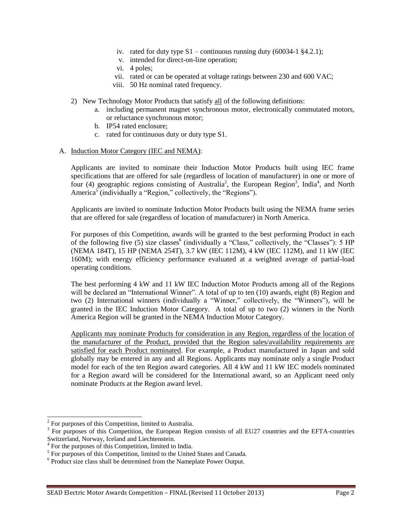- iv. rated for duty type  $S1$  continuous running duty (60034-1 §4.2.1);
- v. intended for direct-on-line operation;
- vi. 4 poles;
- vii. rated or can be operated at voltage ratings between 230 and 600 VAC;
- viii. 50 Hz nominal rated frequency.
- 2) New Technology Motor Products that satisfy all of the following definitions:
	- a. including permanent magnet synchronous motor, electronically commutated motors, or reluctance synchronous motor;
	- b. IP54 rated enclosure;
	- c. rated for continuous duty or duty type S1.

#### A. Induction Motor Category (IEC and NEMA):

Applicants are invited to nominate their Induction Motor Products built using IEC frame specifications that are offered for sale (regardless of location of manufacturer) in one or more of four (4) geographic regions consisting of Australia<sup>2</sup>, the European Region<sup>3</sup>, India<sup>4</sup>, and North America<sup>5</sup> (individually a "Region," collectively, the "Regions").

Applicants are invited to nominate Induction Motor Products built using the NEMA frame series that are offered for sale (regardless of location of manufacturer) in North America.

For purposes of this Competition, awards will be granted to the best performing Product in each of the following five (5) size classes<sup>6</sup> (individually a "Class," collectively, the "Classes"): 5 HP (NEMA 184T), 15 HP (NEMA 254T), 3.7 kW (IEC 112M), 4 kW (IEC 112M), and 11 kW (IEC 160M); with energy efficiency performance evaluated at a weighted average of partial-load operating conditions.

The best performing 4 kW and 11 kW IEC Induction Motor Products among all of the Regions will be declared an "International Winner". A total of up to ten (10) awards, eight (8) Region and two (2) International winners (individually a "Winner," collectively, the "Winners"), will be granted in the IEC Induction Motor Category. A total of up to two (2) winners in the North America Region will be granted in the NEMA Induction Motor Category.

Applicants may nominate Products for consideration in any Region, regardless of the location of the manufacturer of the Product, provided that the Region sales/availability requirements are satisfied for each Product nominated. For example, a Product manufactured in Japan and sold globally may be entered in any and all Regions. Applicants may nominate only a single Product model for each of the ten Region award categories. All 4 kW and 11 kW IEC models nominated for a Region award will be considered for the International award, so an Applicant need only nominate Products at the Region award level.

 $\overline{a}$ 

 $2^{2}$  For purposes of this Competition, limited to Australia.

<sup>&</sup>lt;sup>3</sup> For purposes of this Competition, the European Region consists of all EU27 countries and the EFTA-countries Switzerland, Norway, Iceland and Liechtenstein.

<sup>&</sup>lt;sup>4</sup> For the purposes of this Competition, limited to India.

<sup>&</sup>lt;sup>5</sup> For purposes of this Competition, limited to the United States and Canada.

<sup>&</sup>lt;sup>6</sup> Product size class shall be determined from the Nameplate Power Output.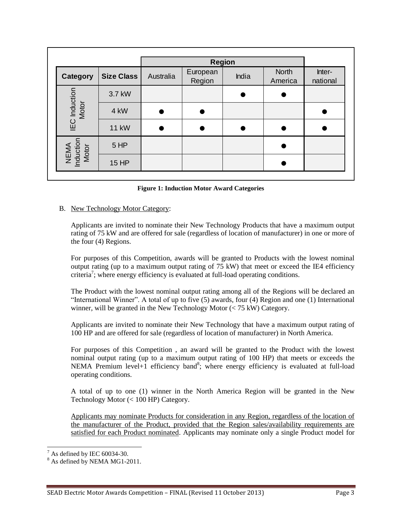|                            |                   |           | <b>Region</b>      |       |                         |                    |
|----------------------------|-------------------|-----------|--------------------|-------|-------------------------|--------------------|
| <b>Category</b>            | <b>Size Class</b> | Australia | European<br>Region | India | <b>North</b><br>America | Inter-<br>national |
|                            | 3.7 kW            |           |                    |       |                         |                    |
| IEC Induction              | 4 kW              |           |                    |       |                         |                    |
|                            | <b>11 kW</b>      |           |                    |       |                         |                    |
| NEMA<br>Induction<br>Motor | $5$ HP            |           |                    |       |                         |                    |
|                            | <b>15 HP</b>      |           |                    |       |                         |                    |

**Figure 1: Induction Motor Award Categories**

#### B. New Technology Motor Category:

Applicants are invited to nominate their New Technology Products that have a maximum output rating of 75 kW and are offered for sale (regardless of location of manufacturer) in one or more of the four (4) Regions.

For purposes of this Competition, awards will be granted to Products with the lowest nominal output rating (up to a maximum output rating of 75 kW) that meet or exceed the IE4 efficiency criteria<sup>7</sup>; where energy efficiency is evaluated at full-load operating conditions.

The Product with the lowest nominal output rating among all of the Regions will be declared an "International Winner". A total of up to five (5) awards, four (4) Region and one (1) International winner, will be granted in the New Technology Motor  $(< 75 \text{ kW})$  Category.

Applicants are invited to nominate their New Technology that have a maximum output rating of 100 HP and are offered for sale (regardless of location of manufacturer) in North America.

For purposes of this Competition , an award will be granted to the Product with the lowest nominal output rating (up to a maximum output rating of 100 HP) that meets or exceeds the NEMA Premium level+1 efficiency band<sup>8</sup>; where energy efficiency is evaluated at full-load operating conditions.

A total of up to one (1) winner in the North America Region will be granted in the New Technology Motor (< 100 HP) Category.

Applicants may nominate Products for consideration in any Region, regardless of the location of the manufacturer of the Product, provided that the Region sales/availability requirements are satisfied for each Product nominated. Applicants may nominate only a single Product model for

l

 $7$  As defined by IEC 60034-30.

<sup>&</sup>lt;sup>8</sup> As defined by NEMA MG1-2011.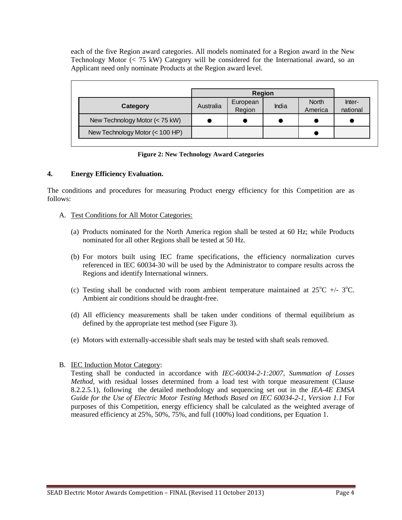each of the five Region award categories. All models nominated for a Region award in the New Technology Motor (< 75 kW) Category will be considered for the International award, so an Applicant need only nominate Products at the Region award level.

|                                 |           | <b>Region</b>      |              |                         |                    |
|---------------------------------|-----------|--------------------|--------------|-------------------------|--------------------|
| Category                        | Australia | European<br>Region | <b>India</b> | <b>North</b><br>America | Inter-<br>national |
| New Technology Motor (< 75 kW)  |           |                    |              |                         |                    |
| New Technology Motor (< 100 HP) |           |                    |              |                         |                    |

#### **Figure 2: New Technology Award Categories**

#### **4. Energy Efficiency Evaluation.**

The conditions and procedures for measuring Product energy efficiency for this Competition are as follows:

- A. Test Conditions for All Motor Categories:
	- (a) Products nominated for the North America region shall be tested at 60 Hz; while Products nominated for all other Regions shall be tested at 50 Hz.
	- (b) For motors built using IEC frame specifications, the efficiency normalization curves referenced in IEC 60034-30 will be used by the Administrator to compare results across the Regions and identify International winners.
	- (c) Testing shall be conducted with room ambient temperature maintained at  $25^{\circ}C$  +/-  $3^{\circ}C$ . Ambient air conditions should be draught-free.
	- (d) All efficiency measurements shall be taken under conditions of thermal equilibrium as defined by the appropriate test method (see Figure 3).
	- (e) Motors with externally-accessible shaft seals may be tested with shaft seals removed.
- B. IEC Induction Motor Category:

Testing shall be conducted in accordance with *IEC-60034-2-1:2007, Summation of Losses Method*, with residual losses determined from a load test with torque measurement (Clause 8.2.2.5.1)*,* following the detailed methodology and sequencing set out in the *IEA-4E EMSA Guide for the Use of Electric Motor Testing Methods Based on IEC 60034-2-1, Version 1.1* For purposes of this Competition, energy efficiency shall be calculated as the weighted average of measured efficiency at 25%, 50%, 75%, and full (100%) load conditions, per Equation 1.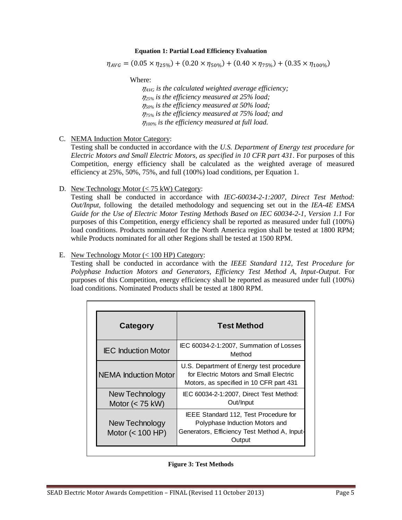#### **Equation 1: Partial Load Efficiency Evaluation**

 $\eta_{AVG} = (0.05 \times \eta_{25\%}) + (0.20 \times \eta_{50\%}) + (0.40 \times \eta_{75\%}) + (0.35 \times \eta_{100\%})$ 

Where:

 *AVG is the calculated weighted average efficiency; 25% is the efficiency measured at 25% load; 50% is the efficiency measured at 50% load; 75% is the efficiency measured at 75% load; and 100% is the efficiency measured at full load.*

C. NEMA Induction Motor Category:

Testing shall be conducted in accordance with the *U.S. Department of Energy test procedure for Electric Motors and Small Electric Motors, as specified in 10 CFR part 431*. For purposes of this Competition, energy efficiency shall be calculated as the weighted average of measured efficiency at 25%, 50%, 75%, and full (100%) load conditions, per Equation 1.

D. New Technology Motor (< 75 kW) Category:

Testing shall be conducted in accordance with *IEC-60034-2-1:2007, Direct Test Method: Out/Input*, following the detailed methodology and sequencing set out in the *IEA-4E EMSA Guide for the Use of Electric Motor Testing Methods Based on IEC 60034-2-1, Version 1.1* For purposes of this Competition, energy efficiency shall be reported as measured under full (100%) load conditions. Products nominated for the North America region shall be tested at 1800 RPM; while Products nominated for all other Regions shall be tested at 1500 RPM.

#### E. New Technology Motor (< 100 HP) Category:

Testing shall be conducted in accordance with the *IEEE Standard 112, Test Procedure for Polyphase Induction Motors and Generators, Efficiency Test Method A, Input-Output*. For purposes of this Competition, energy efficiency shall be reported as measured under full (100%) load conditions. Nominated Products shall be tested at 1800 RPM.

| <b>Category</b>                     | <b>Test Method</b>                                                                                                                |
|-------------------------------------|-----------------------------------------------------------------------------------------------------------------------------------|
| <b>IEC</b> Induction Motor          | IEC 60034-2-1:2007, Summation of Losses<br>Method                                                                                 |
| NEMA Induction Motor                | U.S. Department of Energy test procedure<br>for Electric Motors and Small Electric<br>Motors, as specified in 10 CFR part 431     |
| New Technology<br>Motor $(< 75$ kW) | IEC 60034-2-1:2007, Direct Test Method:<br>Out/Input                                                                              |
| New Technology<br>Motor (< 100 HP)  | IEEE Standard 112, Test Procedure for<br>Polyphase Induction Motors and<br>Generators, Efficiency Test Method A, Input-<br>Output |

|  |  |  | <b>Figure 3: Test Methods</b> |
|--|--|--|-------------------------------|
|--|--|--|-------------------------------|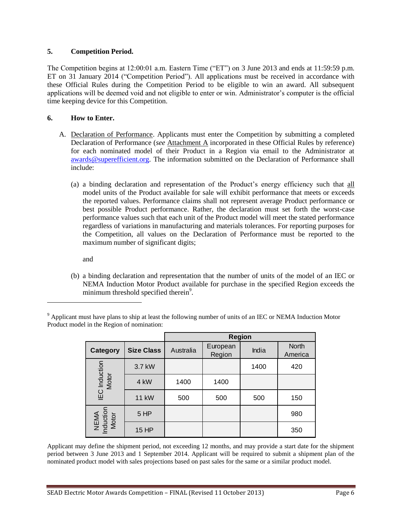#### **5. Competition Period.**

The Competition begins at 12:00:01 a.m. Eastern Time ("ET") on 3 June 2013 and ends at 11:59:59 p.m. ET on 31 January 2014 ("Competition Period"). All applications must be received in accordance with these Official Rules during the Competition Period to be eligible to win an award. All subsequent applications will be deemed void and not eligible to enter or win. Administrator's computer is the official time keeping device for this Competition.

#### **6. How to Enter.**

- A. Declaration of Performance. Applicants must enter the Competition by submitting a completed Declaration of Performance (*see* Attachment A incorporated in these Official Rules by reference) for each nominated model of their Product in a Region via email to the Administrator at [awards@superefficient.org.](mailto:awards@superefficient.org) The information submitted on the Declaration of Performance shall include:
	- (a) a binding declaration and representation of the Product's energy efficiency such that all model units of the Product available for sale will exhibit performance that meets or exceeds the reported values. Performance claims shall not represent average Product performance or best possible Product performance. Rather, the declaration must set forth the worst-case performance values such that each unit of the Product model will meet the stated performance regardless of variations in manufacturing and materials tolerances. For reporting purposes for the Competition, all values on the Declaration of Performance must be reported to the maximum number of significant digits;

and

l

(b) a binding declaration and representation that the number of units of the model of an IEC or NEMA Induction Motor Product available for purchase in the specified Region exceeds the minimum threshold specified therein<sup>9</sup>.

|                           |                   |           | <b>Region</b>      |       |                  |
|---------------------------|-------------------|-----------|--------------------|-------|------------------|
| <b>Category</b>           | <b>Size Class</b> | Australia | European<br>Region | India | North<br>America |
| IEC Induction<br>Motor    | 3.7 kW            |           |                    | 1400  | 420              |
|                           | 4 kW              | 1400      | 1400               |       |                  |
|                           | <b>11 kW</b>      | 500       | 500                | 500   | 150              |
| NEMA<br>nduction<br>Motor | $5$ HP            |           |                    |       | 980              |
|                           | <b>15 HP</b>      |           |                    |       | 350              |

<sup>9</sup> Applicant must have plans to ship at least the following number of units of an IEC or NEMA Induction Motor Product model in the Region of nomination:

Applicant may define the shipment period, not exceeding 12 months, and may provide a start date for the shipment period between 3 June 2013 and 1 September 2014. Applicant will be required to submit a shipment plan of the nominated product model with sales projections based on past sales for the same or a similar product model.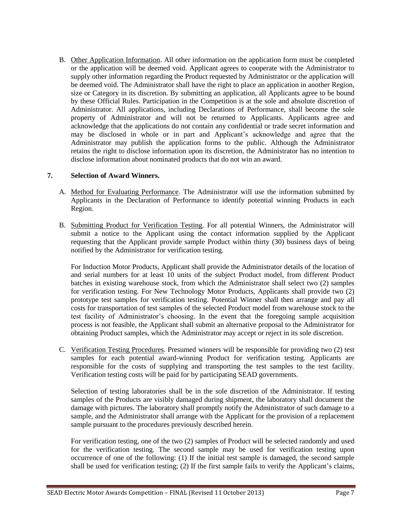B. Other Application Information. All other information on the application form must be completed or the application will be deemed void. Applicant agrees to cooperate with the Administrator to supply other information regarding the Product requested by Administrator or the application will be deemed void. The Administrator shall have the right to place an application in another Region, size or Category in its discretion. By submitting an application, all Applicants agree to be bound by these Official Rules. Participation in the Competition is at the sole and absolute discretion of Administrator. All applications, including Declarations of Performance, shall become the sole property of Administrator and will not be returned to Applicants. Applicants agree and acknowledge that the applications do not contain any confidential or trade secret information and may be disclosed in whole or in part and Applicant's acknowledge and agree that the Administrator may publish the application forms to the public. Although the Administrator retains the right to disclose information upon its discretion, the Administrator has no intention to disclose information about nominated products that do not win an award.

#### **7. Selection of Award Winners.**

- A. Method for Evaluating Performance. The Administrator will use the information submitted by Applicants in the Declaration of Performance to identify potential winning Products in each Region.
- B. Submitting Product for Verification Testing. For all potential Winners, the Administrator will submit a notice to the Applicant using the contact information supplied by the Applicant requesting that the Applicant provide sample Product within thirty (30) business days of being notified by the Administrator for verification testing.

For Induction Motor Products, Applicant shall provide the Administrator details of the location of and serial numbers for at least 10 units of the subject Product model, from different Product batches in existing warehouse stock, from which the Administrator shall select two (2) samples for verification testing. For New Technology Motor Products, Applicants shall provide two (2) prototype test samples for verification testing. Potential Winner shall then arrange and pay all costs for transportation of test samples of the selected Product model from warehouse stock to the test facility of Administrator's choosing. In the event that the foregoing sample acquisition process is not feasible, the Applicant shall submit an alternative proposal to the Administrator for obtaining Product samples, which the Administrator may accept or reject in its sole discretion.

C. Verification Testing Procedures. Presumed winners will be responsible for providing two (2) test samples for each potential award-winning Product for verification testing. Applicants are responsible for the costs of supplying and transporting the test samples to the test facility. Verification testing costs will be paid for by participating SEAD governments.

Selection of testing laboratories shall be in the sole discretion of the Administrator. If testing samples of the Products are visibly damaged during shipment, the laboratory shall document the damage with pictures. The laboratory shall promptly notify the Administrator of such damage to a sample, and the Administrator shall arrange with the Applicant for the provision of a replacement sample pursuant to the procedures previously described herein.

For verification testing, one of the two (2) samples of Product will be selected randomly and used for the verification testing. The second sample may be used for verification testing upon occurrence of one of the following: (1) If the initial test sample is damaged, the second sample shall be used for verification testing; (2) If the first sample fails to verify the Applicant's claims,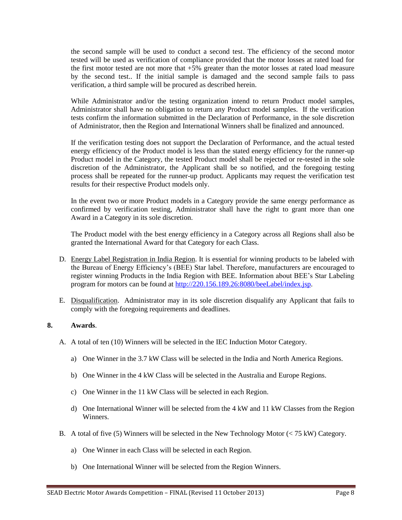the second sample will be used to conduct a second test. The efficiency of the second motor tested will be used as verification of compliance provided that the motor losses at rated load for the first motor tested are not more that  $+5\%$  greater than the motor losses at rated load measure by the second test.. If the initial sample is damaged and the second sample fails to pass verification, a third sample will be procured as described herein.

While Administrator and/or the testing organization intend to return Product model samples, Administrator shall have no obligation to return any Product model samples. If the verification tests confirm the information submitted in the Declaration of Performance, in the sole discretion of Administrator, then the Region and International Winners shall be finalized and announced.

If the verification testing does not support the Declaration of Performance, and the actual tested energy efficiency of the Product model is less than the stated energy efficiency for the runner-up Product model in the Category, the tested Product model shall be rejected or re-tested in the sole discretion of the Administrator, the Applicant shall be so notified, and the foregoing testing process shall be repeated for the runner-up product. Applicants may request the verification test results for their respective Product models only.

In the event two or more Product models in a Category provide the same energy performance as confirmed by verification testing, Administrator shall have the right to grant more than one Award in a Category in its sole discretion.

The Product model with the best energy efficiency in a Category across all Regions shall also be granted the International Award for that Category for each Class.

- D. Energy Label Registration in India Region. It is essential for winning products to be labeled with the Bureau of Energy Efficiency's (BEE) Star label. Therefore, manufacturers are encouraged to register winning Products in the India Region with BEE. Information about BEE's Star Labeling program for motors can be found at [http://220.156.189.26:8080/beeLabel/index.jsp.](http://220.156.189.26:8080/beeLabel/index.jsp)
- E. Disqualification. Administrator may in its sole discretion disqualify any Applicant that fails to comply with the foregoing requirements and deadlines.

#### **8. Awards**.

- A. A total of ten (10) Winners will be selected in the IEC Induction Motor Category.
	- a) One Winner in the 3.7 kW Class will be selected in the India and North America Regions.
	- b) One Winner in the 4 kW Class will be selected in the Australia and Europe Regions.
	- c) One Winner in the 11 kW Class will be selected in each Region.
	- d) One International Winner will be selected from the 4 kW and 11 kW Classes from the Region Winners.
- B. A total of five (5) Winners will be selected in the New Technology Motor (< 75 kW) Category.
	- a) One Winner in each Class will be selected in each Region.
	- b) One International Winner will be selected from the Region Winners.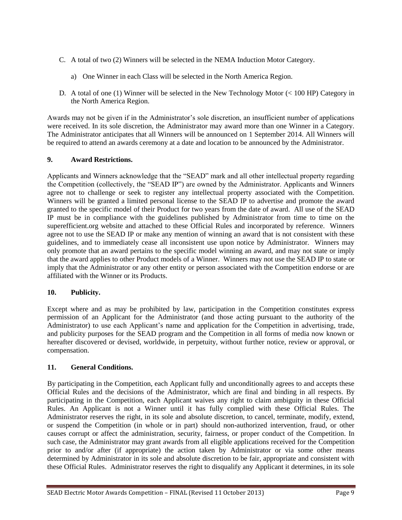- C. A total of two (2) Winners will be selected in the NEMA Induction Motor Category.
	- a) One Winner in each Class will be selected in the North America Region.
- D. A total of one (1) Winner will be selected in the New Technology Motor (< 100 HP) Category in the North America Region.

Awards may not be given if in the Administrator's sole discretion, an insufficient number of applications were received. In its sole discretion, the Administrator may award more than one Winner in a Category. The Administrator anticipates that all Winners will be announced on 1 September 2014. All Winners will be required to attend an awards ceremony at a date and location to be announced by the Administrator.

#### **9. Award Restrictions.**

Applicants and Winners acknowledge that the "SEAD" mark and all other intellectual property regarding the Competition (collectively, the "SEAD IP") are owned by the Administrator. Applicants and Winners agree not to challenge or seek to register any intellectual property associated with the Competition. Winners will be granted a limited personal license to the SEAD IP to advertise and promote the award granted to the specific model of their Product for two years from the date of award. All use of the SEAD IP must be in compliance with the guidelines published by Administrator from time to time on the superefficient.org website and attached to these Official Rules and incorporated by reference. Winners agree not to use the SEAD IP or make any mention of winning an award that is not consistent with these guidelines, and to immediately cease all inconsistent use upon notice by Administrator. Winners may only promote that an award pertains to the specific model winning an award, and may not state or imply that the award applies to other Product models of a Winner. Winners may not use the SEAD IP to state or imply that the Administrator or any other entity or person associated with the Competition endorse or are affiliated with the Winner or its Products.

#### **10. Publicity.**

Except where and as may be prohibited by law, participation in the Competition constitutes express permission of an Applicant for the Administrator (and those acting pursuant to the authority of the Administrator) to use each Applicant's name and application for the Competition in advertising, trade, and publicity purposes for the SEAD program and the Competition in all forms of media now known or hereafter discovered or devised, worldwide, in perpetuity, without further notice, review or approval, or compensation.

#### **11. General Conditions.**

By participating in the Competition, each Applicant fully and unconditionally agrees to and accepts these Official Rules and the decisions of the Administrator, which are final and binding in all respects. By participating in the Competition, each Applicant waives any right to claim ambiguity in these Official Rules. An Applicant is not a Winner until it has fully complied with these Official Rules. The Administrator reserves the right, in its sole and absolute discretion, to cancel, terminate, modify, extend, or suspend the Competition (in whole or in part) should non-authorized intervention, fraud, or other causes corrupt or affect the administration, security, fairness, or proper conduct of the Competition. In such case, the Administrator may grant awards from all eligible applications received for the Competition prior to and/or after (if appropriate) the action taken by Administrator or via some other means determined by Administrator in its sole and absolute discretion to be fair, appropriate and consistent with these Official Rules. Administrator reserves the right to disqualify any Applicant it determines, in its sole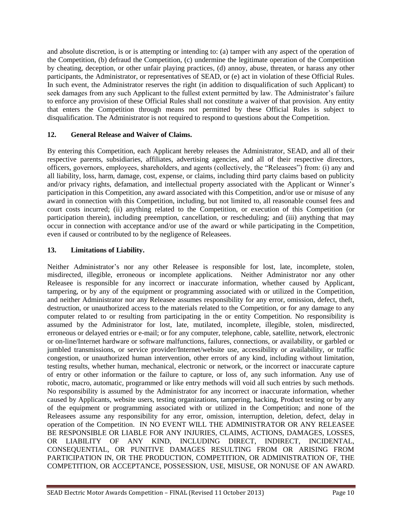and absolute discretion, is or is attempting or intending to: (a) tamper with any aspect of the operation of the Competition, (b) defraud the Competition, (c) undermine the legitimate operation of the Competition by cheating, deception, or other unfair playing practices, (d) annoy, abuse, threaten, or harass any other participants, the Administrator, or representatives of SEAD, or (e) act in violation of these Official Rules. In such event, the Administrator reserves the right (in addition to disqualification of such Applicant) to seek damages from any such Applicant to the fullest extent permitted by law. The Administrator's failure to enforce any provision of these Official Rules shall not constitute a waiver of that provision. Any entity that enters the Competition through means not permitted by these Official Rules is subject to disqualification. The Administrator is not required to respond to questions about the Competition.

#### **12. General Release and Waiver of Claims.**

By entering this Competition, each Applicant hereby releases the Administrator, SEAD, and all of their respective parents, subsidiaries, affiliates, advertising agencies, and all of their respective directors, officers, governors, employees, shareholders, and agents (collectively, the "Releasees") from: (i) any and all liability, loss, harm, damage, cost, expense, or claims, including third party claims based on publicity and/or privacy rights, defamation, and intellectual property associated with the Applicant or Winner's participation in this Competition, any award associated with this Competition, and/or use or misuse of any award in connection with this Competition, including, but not limited to, all reasonable counsel fees and court costs incurred; (ii) anything related to the Competition, or execution of this Competition (or participation therein), including preemption, cancellation, or rescheduling; and (iii) anything that may occur in connection with acceptance and/or use of the award or while participating in the Competition, even if caused or contributed to by the negligence of Releasees.

#### **13. Limitations of Liability.**

Neither Administrator's nor any other Releasee is responsible for lost, late, incomplete, stolen, misdirected, illegible, erroneous or incomplete applications. Neither Administrator nor any other Releasee is responsible for any incorrect or inaccurate information, whether caused by Applicant, tampering, or by any of the equipment or programming associated with or utilized in the Competition, and neither Administrator nor any Releasee assumes responsibility for any error, omission, defect, theft, destruction, or unauthorized access to the materials related to the Competition, or for any damage to any computer related to or resulting from participating in the or entity Competition. No responsibility is assumed by the Administrator for lost, late, mutilated, incomplete, illegible, stolen, misdirected, erroneous or delayed entries or e-mail; or for any computer, telephone, cable, satellite, network, electronic or on-line/Internet hardware or software malfunctions, failures, connections, or availability, or garbled or jumbled transmissions, or service provider/Internet/website use, accessibility or availability, or traffic congestion, or unauthorized human intervention, other errors of any kind, including without limitation, testing results, whether human, mechanical, electronic or network, or the incorrect or inaccurate capture of entry or other information or the failure to capture, or loss of, any such information. Any use of robotic, macro, automatic, programmed or like entry methods will void all such entries by such methods. No responsibility is assumed by the Administrator for any incorrect or inaccurate information, whether caused by Applicants, website users, testing organizations, tampering, hacking, Product testing or by any of the equipment or programming associated with or utilized in the Competition; and none of the Releasees assume any responsibility for any error, omission, interruption, deletion, defect, delay in operation of the Competition. IN NO EVENT WILL THE ADMINISTRATOR OR ANY RELEASEE BE RESPONSIBLE OR LIABLE FOR ANY INJURIES, CLAIMS, ACTIONS, DAMAGES, LOSSES, OR LIABILITY OF ANY KIND, INCLUDING DIRECT, INDIRECT, INCIDENTAL, CONSEQUENTIAL, OR PUNITIVE DAMAGES RESULTING FROM OR ARISING FROM PARTICIPATION IN, OR THE PRODUCTION, COMPETITION, OR ADMINISTRATION OF, THE COMPETITION, OR ACCEPTANCE, POSSESSION, USE, MISUSE, OR NONUSE OF AN AWARD.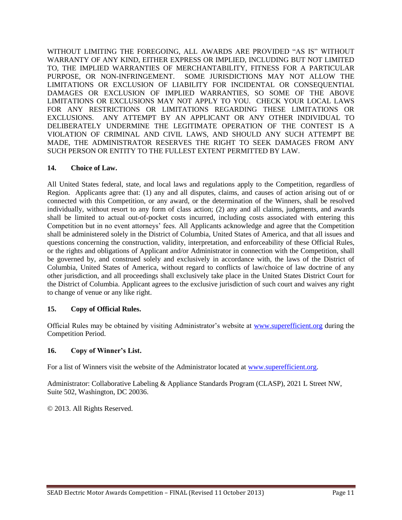WITHOUT LIMITING THE FOREGOING, ALL AWARDS ARE PROVIDED "AS IS" WITHOUT WARRANTY OF ANY KIND, EITHER EXPRESS OR IMPLIED, INCLUDING BUT NOT LIMITED TO, THE IMPLIED WARRANTIES OF MERCHANTABILITY, FITNESS FOR A PARTICULAR PURPOSE, OR NON-INFRINGEMENT. SOME JURISDICTIONS MAY NOT ALLOW THE LIMITATIONS OR EXCLUSION OF LIABILITY FOR INCIDENTAL OR CONSEQUENTIAL DAMAGES OR EXCLUSION OF IMPLIED WARRANTIES, SO SOME OF THE ABOVE LIMITATIONS OR EXCLUSIONS MAY NOT APPLY TO YOU. CHECK YOUR LOCAL LAWS FOR ANY RESTRICTIONS OR LIMITATIONS REGARDING THESE LIMITATIONS OR EXCLUSIONS. ANY ATTEMPT BY AN APPLICANT OR ANY OTHER INDIVIDUAL TO DELIBERATELY UNDERMINE THE LEGITIMATE OPERATION OF THE CONTEST IS A VIOLATION OF CRIMINAL AND CIVIL LAWS, AND SHOULD ANY SUCH ATTEMPT BE MADE, THE ADMINISTRATOR RESERVES THE RIGHT TO SEEK DAMAGES FROM ANY SUCH PERSON OR ENTITY TO THE FULLEST EXTENT PERMITTED BY LAW.

#### **14. Choice of Law.**

All United States federal, state, and local laws and regulations apply to the Competition, regardless of Region. Applicants agree that: (1) any and all disputes, claims, and causes of action arising out of or connected with this Competition, or any award, or the determination of the Winners, shall be resolved individually, without resort to any form of class action; (2) any and all claims, judgments, and awards shall be limited to actual out-of-pocket costs incurred, including costs associated with entering this Competition but in no event attorneys' fees. All Applicants acknowledge and agree that the Competition shall be administered solely in the District of Columbia, United States of America, and that all issues and questions concerning the construction, validity, interpretation, and enforceability of these Official Rules, or the rights and obligations of Applicant and/or Administrator in connection with the Competition, shall be governed by, and construed solely and exclusively in accordance with, the laws of the District of Columbia, United States of America, without regard to conflicts of law/choice of law doctrine of any other jurisdiction, and all proceedings shall exclusively take place in the United States District Court for the District of Columbia. Applicant agrees to the exclusive jurisdiction of such court and waives any right to change of venue or any like right.

#### **15. Copy of Official Rules.**

Official Rules may be obtained by visiting Administrator's website at [www.superefficient.org](http://www.superefficient.org/) during the Competition Period.

#### **16. Copy of Winner's List.**

For a list of Winners visit the website of the Administrator located at [www.superefficient.org.](http://www.superefficient.org/)

Administrator: Collaborative Labeling & Appliance Standards Program (CLASP), 2021 L Street NW, Suite 502, Washington, DC 20036.

© 2013. All Rights Reserved.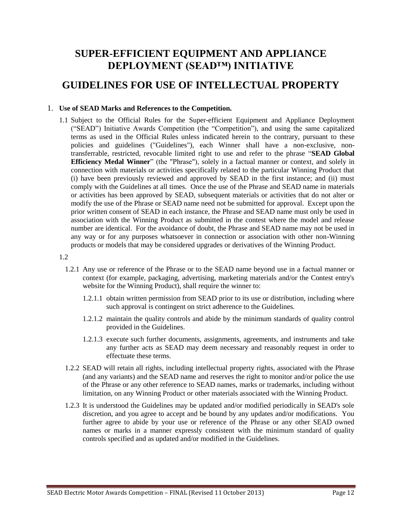## **SUPER-EFFICIENT EQUIPMENT AND APPLIANCE DEPLOYMENT (SEAD™) INITIATIVE**

## **GUIDELINES FOR USE OF INTELLECTUAL PROPERTY**

#### 1. **Use of SEAD Marks and References to the Competition.**

1.1 Subject to the Official Rules for the Super-efficient Equipment and Appliance Deployment ("SEAD") Initiative Awards Competition (the "Competition"), and using the same capitalized terms as used in the Official Rules unless indicated herein to the contrary, pursuant to these policies and guidelines ("Guidelines"), each Winner shall have a non-exclusive, nontransferrable, restricted, revocable limited right to use and refer to the phrase "**SEAD Global Efficiency Medal Winner**" (the "Phrase"), solely in a factual manner or context, and solely in connection with materials or activities specifically related to the particular Winning Product that (i) have been previously reviewed and approved by SEAD in the first instance; and (ii) must comply with the Guidelines at all times. Once the use of the Phrase and SEAD name in materials or activities has been approved by SEAD, subsequent materials or activities that do not alter or modify the use of the Phrase or SEAD name need not be submitted for approval. Except upon the prior written consent of SEAD in each instance, the Phrase and SEAD name must only be used in association with the Winning Product as submitted in the contest where the model and release number are identical. For the avoidance of doubt, the Phrase and SEAD name may not be used in any way or for any purposes whatsoever in connection or association with other non-Winning products or models that may be considered upgrades or derivatives of the Winning Product.

1.2

- 1.2.1 Any use or reference of the Phrase or to the SEAD name beyond use in a factual manner or context (for example, packaging, advertising, marketing materials and/or the Contest entry's website for the Winning Product), shall require the winner to:
	- 1.2.1.1 obtain written permission from SEAD prior to its use or distribution, including where such approval is contingent on strict adherence to the Guidelines.
	- 1.2.1.2 maintain the quality controls and abide by the minimum standards of quality control provided in the Guidelines.
	- 1.2.1.3 execute such further documents, assignments, agreements, and instruments and take any further acts as SEAD may deem necessary and reasonably request in order to effectuate these terms.
- 1.2.2 SEAD will retain all rights, including intellectual property rights, associated with the Phrase (and any variants) and the SEAD name and reserves the right to monitor and/or police the use of the Phrase or any other reference to SEAD names, marks or trademarks, including without limitation, on any Winning Product or other materials associated with the Winning Product.
- 1.2.3 It is understood the Guidelines may be updated and/or modified periodically in SEAD's sole discretion, and you agree to accept and be bound by any updates and/or modifications. You further agree to abide by your use or reference of the Phrase or any other SEAD owned names or marks in a manner expressly consistent with the minimum standard of quality controls specified and as updated and/or modified in the Guidelines.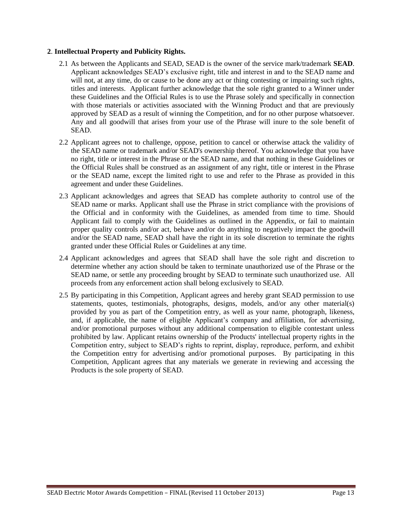#### **2**. **Intellectual Property and Publicity Rights.**

- 2.1 As between the Applicants and SEAD, SEAD is the owner of the service mark/trademark **SEAD**. Applicant acknowledges SEAD's exclusive right, title and interest in and to the SEAD name and will not, at any time, do or cause to be done any act or thing contesting or impairing such rights, titles and interests. Applicant further acknowledge that the sole right granted to a Winner under these Guidelines and the Official Rules is to use the Phrase solely and specifically in connection with those materials or activities associated with the Winning Product and that are previously approved by SEAD as a result of winning the Competition, and for no other purpose whatsoever. Any and all goodwill that arises from your use of the Phrase will inure to the sole benefit of SEAD.
- 2.2 Applicant agrees not to challenge, oppose, petition to cancel or otherwise attack the validity of the SEAD name or trademark and/or SEAD's ownership thereof. You acknowledge that you have no right, title or interest in the Phrase or the SEAD name, and that nothing in these Guidelines or the Official Rules shall be construed as an assignment of any right, title or interest in the Phrase or the SEAD name, except the limited right to use and refer to the Phrase as provided in this agreement and under these Guidelines.
- 2.3 Applicant acknowledges and agrees that SEAD has complete authority to control use of the SEAD name or marks. Applicant shall use the Phrase in strict compliance with the provisions of the Official and in conformity with the Guidelines, as amended from time to time. Should Applicant fail to comply with the Guidelines as outlined in the Appendix, or fail to maintain proper quality controls and/or act, behave and/or do anything to negatively impact the goodwill and/or the SEAD name, SEAD shall have the right in its sole discretion to terminate the rights granted under these Official Rules or Guidelines at any time.
- 2.4 Applicant acknowledges and agrees that SEAD shall have the sole right and discretion to determine whether any action should be taken to terminate unauthorized use of the Phrase or the SEAD name, or settle any proceeding brought by SEAD to terminate such unauthorized use. All proceeds from any enforcement action shall belong exclusively to SEAD.
- 2.5 By participating in this Competition, Applicant agrees and hereby grant SEAD permission to use statements, quotes, testimonials, photographs, designs, models, and/or any other material(s) provided by you as part of the Competition entry, as well as your name, photograph, likeness, and, if applicable, the name of eligible Applicant's company and affiliation, for advertising, and/or promotional purposes without any additional compensation to eligible contestant unless prohibited by law. Applicant retains ownership of the Products' intellectual property rights in the Competition entry, subject to SEAD's rights to reprint, display, reproduce, perform, and exhibit the Competition entry for advertising and/or promotional purposes. By participating in this Competition, Applicant agrees that any materials we generate in reviewing and accessing the Products is the sole property of SEAD.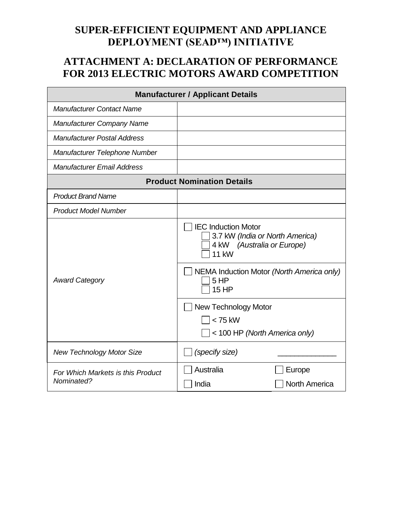## **SUPER-EFFICIENT EQUIPMENT AND APPLIANCE DEPLOYMENT (SEAD™) INITIATIVE**

## **ATTACHMENT A: DECLARATION OF PERFORMANCE FOR 2013 ELECTRIC MOTORS AWARD COMPETITION**

| <b>Manufacturer / Applicant Details</b>         |                                                                                                                                                                                     |  |  |  |
|-------------------------------------------------|-------------------------------------------------------------------------------------------------------------------------------------------------------------------------------------|--|--|--|
| <b>Manufacturer Contact Name</b>                |                                                                                                                                                                                     |  |  |  |
| Manufacturer Company Name                       |                                                                                                                                                                                     |  |  |  |
| <b>Manufacturer Postal Address</b>              |                                                                                                                                                                                     |  |  |  |
| Manufacturer Telephone Number                   |                                                                                                                                                                                     |  |  |  |
| <b>Manufacturer Email Address</b>               |                                                                                                                                                                                     |  |  |  |
|                                                 | <b>Product Nomination Details</b>                                                                                                                                                   |  |  |  |
| <b>Product Brand Name</b>                       |                                                                                                                                                                                     |  |  |  |
| <b>Product Model Number</b>                     |                                                                                                                                                                                     |  |  |  |
| <b>Award Category</b>                           | <b>IEC Induction Motor</b><br>3.7 kW (India or North America)<br>(Australia or Europe)<br>4 kW<br><b>11 kW</b><br>NEMA Induction Motor (North America only)<br>5 HP<br><b>15 HP</b> |  |  |  |
|                                                 | <b>New Technology Motor</b><br>$< 75$ kW<br>$\Box$ < 100 HP (North America only)                                                                                                    |  |  |  |
| <b>New Technology Motor Size</b>                | (specify size)                                                                                                                                                                      |  |  |  |
| For Which Markets is this Product<br>Nominated? | Australia<br>Europe<br><b>North America</b><br>India                                                                                                                                |  |  |  |